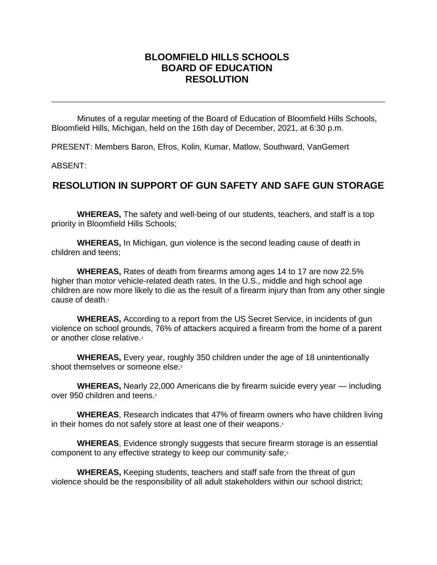## **BLOOMFIELD HILLS SCHOOLS BOARD OF EDUCATION RESOLUTION**

Minutes of a regular meeting of the Board of Education of Bloomfield Hills Schools, Bloomfield Hills, Michigan, held on the 16th day of December, 2021, at 6:30 p.m.

PRESENT: Members Baron, Efros, Kolin, Kumar, Matlow, Southward, VanGemert

ABSENT:

## **RESOLUTION IN SUPPORT OF GUN SAFETY AND SAFE GUN STORAGE**

**WHEREAS,** The safety and well-being of our students, teachers, and staff is a top priority in Bloomfield Hills Schools;

**WHEREAS,** In Michigan, gun violence is the second leading cause of death in children and teens;

**WHEREAS,** Rates of death from firearms among ages 14 to 17 are now 22.5% higher than motor vehicle-related death rates. In the U.S., middle and high school age children are now more likely to die as the result of a firearm injury than from any other single cause of death.<sup>1</sup>

**WHEREAS,** According to a report from the US Secret Service, in incidents of gun violence on school grounds, 76% of attackers acquired a firearm from the home of a parent or another close relative.<sup>2</sup>

**WHEREAS,** Every year, roughly 350 children under the age of 18 unintentionally shoot themselves or someone else.<sup>3</sup>

**WHEREAS,** Nearly 22,000 Americans die by firearm suicide every year — including over 950 children and teens.<sup>4</sup>

**WHEREAS**, Research indicates that 47% of firearm owners who have children living in their homes do not safely store at least one of their weapons.<sup>5</sup>

**WHEREAS**, Evidence strongly suggests that secure firearm storage is an essential component to any effective strategy to keep our community safe;<sup>6</sup>

**WHEREAS,** Keeping students, teachers and staff safe from the threat of gun violence should be the responsibility of all adult stakeholders within our school district;